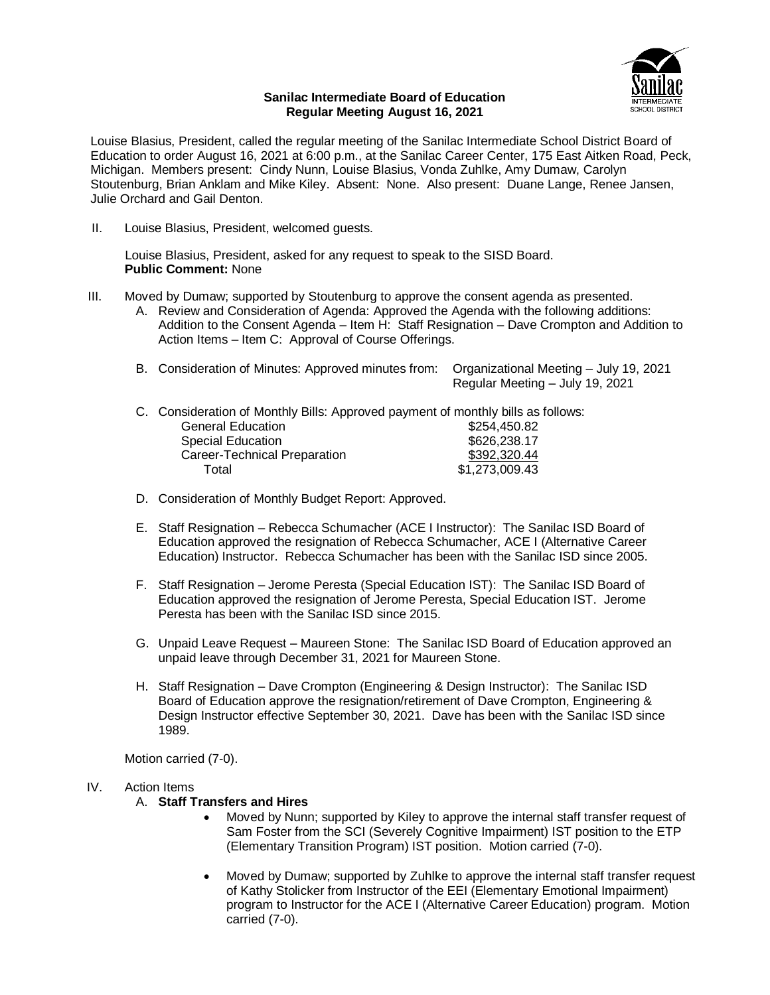

### **Sanilac Intermediate Board of Education Regular Meeting August 16, 2021**

Louise Blasius, President, called the regular meeting of the Sanilac Intermediate School District Board of Education to order August 16, 2021 at 6:00 p.m., at the Sanilac Career Center, 175 East Aitken Road, Peck, Michigan. Members present: Cindy Nunn, Louise Blasius, Vonda Zuhlke, Amy Dumaw, Carolyn Stoutenburg, Brian Anklam and Mike Kiley. Absent: None. Also present: Duane Lange, Renee Jansen, Julie Orchard and Gail Denton.

II. Louise Blasius, President, welcomed guests.

Louise Blasius, President, asked for any request to speak to the SISD Board. **Public Comment:** None

- III. Moved by Dumaw; supported by Stoutenburg to approve the consent agenda as presented.
	- A. Review and Consideration of Agenda: Approved the Agenda with the following additions: Addition to the Consent Agenda – Item H: Staff Resignation – Dave Crompton and Addition to Action Items – Item C: Approval of Course Offerings.
	- B. Consideration of Minutes: Approved minutes from: Organizational Meeting July 19, 2021 Regular Meeting – July 19, 2021
	- C. Consideration of Monthly Bills: Approved payment of monthly bills as follows: General Education  $$254,450.82$ Special Education \$626,238.17 Career-Technical Preparation Total \$1,273,009.43
	- D. Consideration of Monthly Budget Report: Approved.
	- E. Staff Resignation Rebecca Schumacher (ACE I Instructor): The Sanilac ISD Board of Education approved the resignation of Rebecca Schumacher, ACE I (Alternative Career Education) Instructor. Rebecca Schumacher has been with the Sanilac ISD since 2005.
	- F. Staff Resignation Jerome Peresta (Special Education IST): The Sanilac ISD Board of Education approved the resignation of Jerome Peresta, Special Education IST. Jerome Peresta has been with the Sanilac ISD since 2015.
	- G. Unpaid Leave Request Maureen Stone: The Sanilac ISD Board of Education approved an unpaid leave through December 31, 2021 for Maureen Stone.
	- H. Staff Resignation Dave Crompton (Engineering & Design Instructor): The Sanilac ISD Board of Education approve the resignation/retirement of Dave Crompton, Engineering & Design Instructor effective September 30, 2021. Dave has been with the Sanilac ISD since 1989.

Motion carried (7-0).

# IV. Action Items

#### A. **Staff Transfers and Hires**

- Moved by Nunn; supported by Kiley to approve the internal staff transfer request of Sam Foster from the SCI (Severely Cognitive Impairment) IST position to the ETP (Elementary Transition Program) IST position. Motion carried (7-0).
- Moved by Dumaw; supported by Zuhlke to approve the internal staff transfer request of Kathy Stolicker from Instructor of the EEI (Elementary Emotional Impairment) program to Instructor for the ACE I (Alternative Career Education) program. Motion carried (7-0).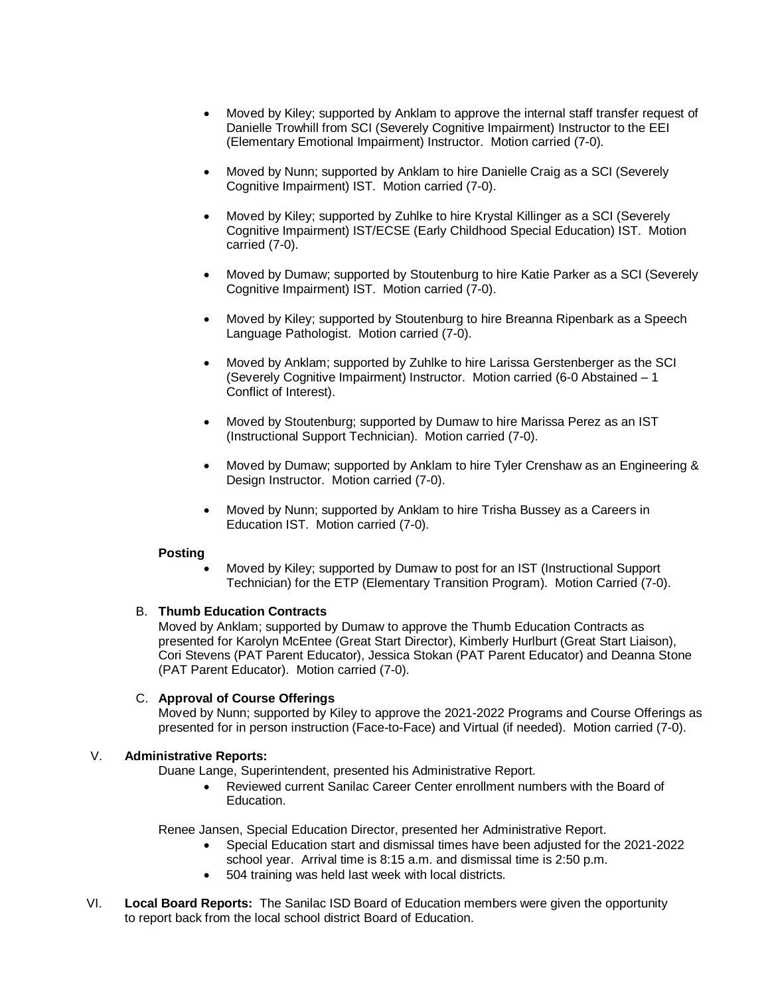- Moved by Kiley; supported by Anklam to approve the internal staff transfer request of Danielle Trowhill from SCI (Severely Cognitive Impairment) Instructor to the EEI (Elementary Emotional Impairment) Instructor. Motion carried (7-0).
- Moved by Nunn; supported by Anklam to hire Danielle Craig as a SCI (Severely Cognitive Impairment) IST. Motion carried (7-0).
- Moved by Kiley; supported by Zuhlke to hire Krystal Killinger as a SCI (Severely Cognitive Impairment) IST/ECSE (Early Childhood Special Education) IST. Motion carried (7-0).
- Moved by Dumaw; supported by Stoutenburg to hire Katie Parker as a SCI (Severely Cognitive Impairment) IST. Motion carried (7-0).
- Moved by Kiley; supported by Stoutenburg to hire Breanna Ripenbark as a Speech Language Pathologist. Motion carried (7-0).
- Moved by Anklam; supported by Zuhlke to hire Larissa Gerstenberger as the SCI (Severely Cognitive Impairment) Instructor. Motion carried (6-0 Abstained – 1 Conflict of Interest).
- Moved by Stoutenburg; supported by Dumaw to hire Marissa Perez as an IST (Instructional Support Technician). Motion carried (7-0).
- Moved by Dumaw; supported by Anklam to hire Tyler Crenshaw as an Engineering & Design Instructor. Motion carried (7-0).
- Moved by Nunn; supported by Anklam to hire Trisha Bussey as a Careers in Education IST. Motion carried (7-0).

#### **Posting**

 Moved by Kiley; supported by Dumaw to post for an IST (Instructional Support Technician) for the ETP (Elementary Transition Program). Motion Carried (7-0).

# B. **Thumb Education Contracts**

Moved by Anklam; supported by Dumaw to approve the Thumb Education Contracts as presented for Karolyn McEntee (Great Start Director), Kimberly Hurlburt (Great Start Liaison), Cori Stevens (PAT Parent Educator), Jessica Stokan (PAT Parent Educator) and Deanna Stone (PAT Parent Educator). Motion carried (7-0).

# C. **Approval of Course Offerings**

Moved by Nunn; supported by Kiley to approve the 2021-2022 Programs and Course Offerings as presented for in person instruction (Face-to-Face) and Virtual (if needed). Motion carried (7-0).

# V. **Administrative Reports:**

Duane Lange, Superintendent, presented his Administrative Report.

 Reviewed current Sanilac Career Center enrollment numbers with the Board of Education.

Renee Jansen, Special Education Director, presented her Administrative Report.

- Special Education start and dismissal times have been adjusted for the 2021-2022 school year. Arrival time is 8:15 a.m. and dismissal time is 2:50 p.m.
- 504 training was held last week with local districts.
- VI. **Local Board Reports:** The Sanilac ISD Board of Education members were given the opportunity to report back from the local school district Board of Education.